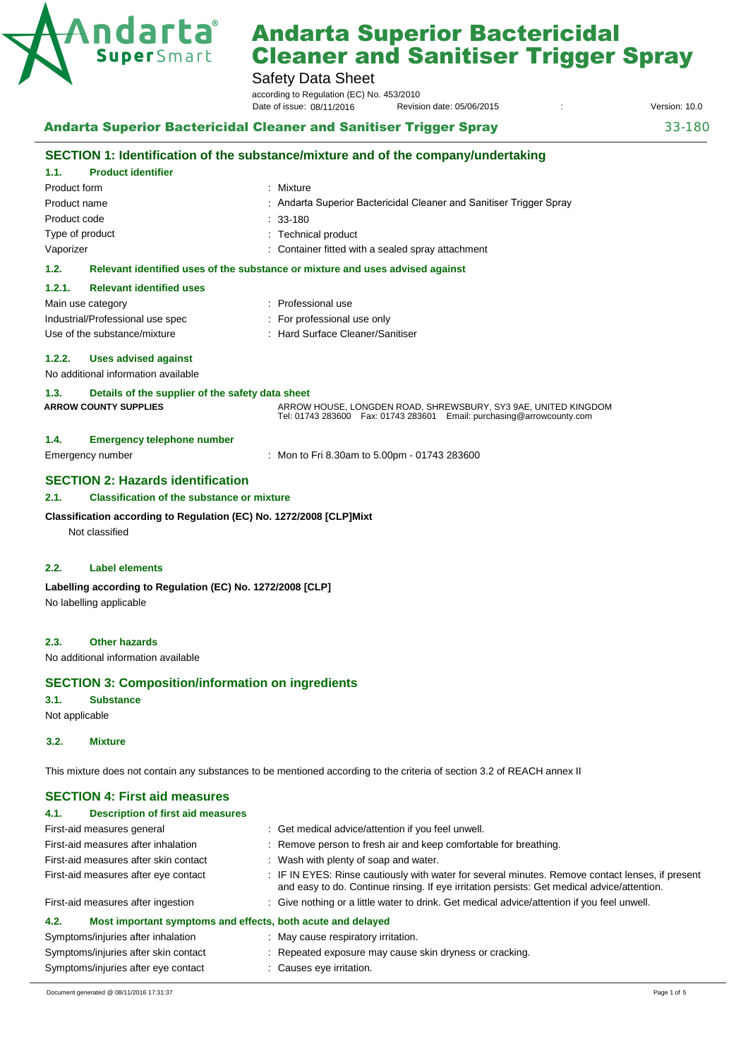

# Safety Data Sheet

according to Regulation (EC) No. 453/2010 Revision date: 05/06/2015 : Version: 10.0 Date of issue: 08/11/2016

**Andarta Superior Bactericidal Cleaner and Sanitiser Trigger Spray 33-180** 33-180

|                                                                                       | SECTION 1: Identification of the substance/mixture and of the company/undertaking                                                         |  |
|---------------------------------------------------------------------------------------|-------------------------------------------------------------------------------------------------------------------------------------------|--|
| <b>Product identifier</b><br>1.1.                                                     |                                                                                                                                           |  |
| Product form                                                                          | Mixture                                                                                                                                   |  |
| Product name                                                                          | Andarta Superior Bactericidal Cleaner and Sanitiser Trigger Spray                                                                         |  |
| Product code                                                                          | 33-180                                                                                                                                    |  |
| Type of product                                                                       | <b>Technical product</b>                                                                                                                  |  |
| Vaporizer                                                                             | Container fitted with a sealed spray attachment                                                                                           |  |
| 1.2.<br>Relevant identified uses of the substance or mixture and uses advised against |                                                                                                                                           |  |
| 1.2.1.<br><b>Relevant identified uses</b>                                             |                                                                                                                                           |  |
| Main use category                                                                     | : Professional use                                                                                                                        |  |
| Industrial/Professional use spec                                                      | For professional use only                                                                                                                 |  |
| Use of the substance/mixture                                                          | : Hard Surface Cleaner/Sanitiser                                                                                                          |  |
| 1.2.2.<br><b>Uses advised against</b>                                                 |                                                                                                                                           |  |
| No additional information available                                                   |                                                                                                                                           |  |
| Details of the supplier of the safety data sheet<br>1.3.                              |                                                                                                                                           |  |
| <b>ARROW COUNTY SUPPLIES</b>                                                          | ARROW HOUSE, LONGDEN ROAD, SHREWSBURY, SY3 9AE, UNITED KINGDOM<br>Tel: 01743 283600  Fax: 01743 283601  Email: purchasing@arrowcounty.com |  |
| <b>Emergency telephone number</b><br>1.4.                                             |                                                                                                                                           |  |
| Emergency number                                                                      | : Mon to Fri 8.30am to 5.00pm - 01743 283600                                                                                              |  |
| <b>SECTION 2: Hazards identification</b>                                              |                                                                                                                                           |  |
| 2.1.<br><b>Classification of the substance or mixture</b>                             |                                                                                                                                           |  |
| Classification according to Regulation (EC) No. 1272/2008 [CLP]Mixt<br>Not classified |                                                                                                                                           |  |
| <b>Label elements</b><br>2.2.                                                         |                                                                                                                                           |  |
| Labelling according to Regulation (EC) No. 1272/2008 [CLP]                            |                                                                                                                                           |  |
| No labelling applicable                                                               |                                                                                                                                           |  |

#### **2.3. Other hazards**

No additional information available

#### **SECTION 3: Composition/information on ingredients**

Symptoms/injuries after eye contact : Causes eye irritation.

**3.1. Substance** 

Not applicable

### **3.2. Mixture**

This mixture does not contain any substances to be mentioned according to the criteria of section 3.2 of REACH annex II

# **SECTION 4: First aid measures**

| <b>Description of first aid measures</b><br>4.1.                    |                                                                                                                                                                                                 |  |  |
|---------------------------------------------------------------------|-------------------------------------------------------------------------------------------------------------------------------------------------------------------------------------------------|--|--|
| First-aid measures general                                          | : Get medical advice/attention if you feel unwell.                                                                                                                                              |  |  |
| First-aid measures after inhalation                                 | : Remove person to fresh air and keep comfortable for breathing.                                                                                                                                |  |  |
| First-aid measures after skin contact                               | : Wash with plenty of soap and water.                                                                                                                                                           |  |  |
| First-aid measures after eye contact                                | : IF IN EYES: Rinse cautiously with water for several minutes. Remove contact lenses, if present<br>and easy to do. Continue rinsing. If eye irritation persists: Get medical advice/attention. |  |  |
| First-aid measures after ingestion                                  | : Give nothing or a little water to drink. Get medical advice/attention if you feel unwell.                                                                                                     |  |  |
| 4.2.<br>Most important symptoms and effects, both acute and delayed |                                                                                                                                                                                                 |  |  |
| Symptoms/injuries after inhalation                                  | : May cause respiratory irritation.                                                                                                                                                             |  |  |
| Symptoms/injuries after skin contact                                | Repeated exposure may cause skin dryness or cracking.                                                                                                                                           |  |  |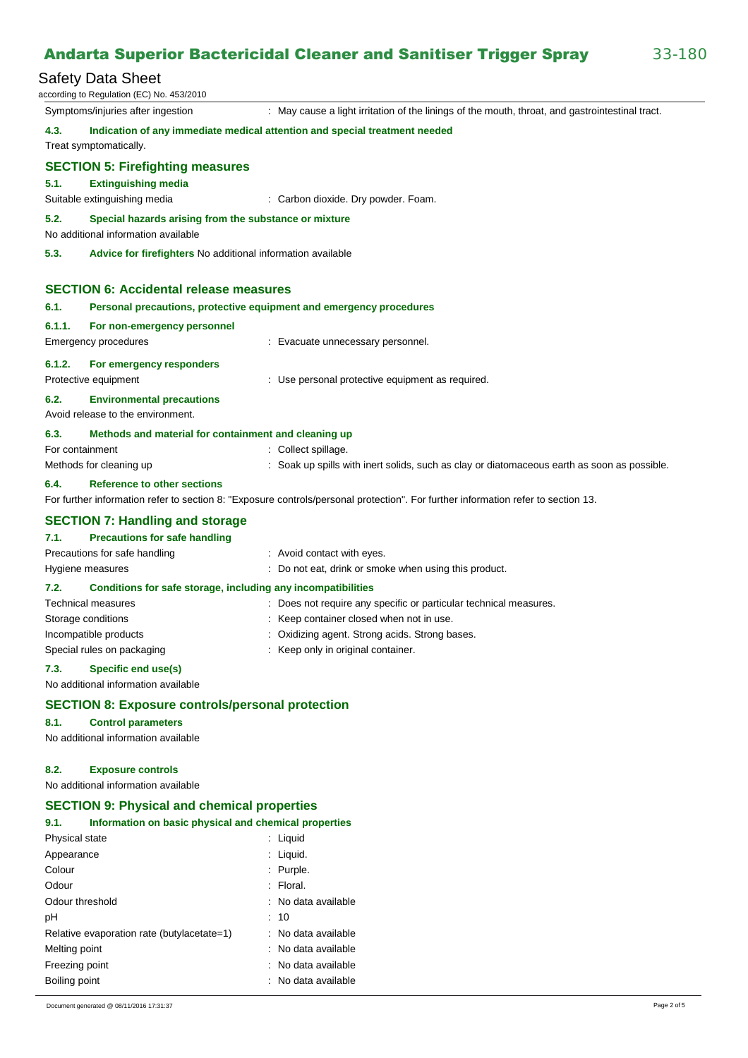# Safety Data Sheet

|                                                                                                                                   | υαισιγ υαια υποσι<br>according to Regulation (EC) No. 453/2010                                        |                                                                                                 |
|-----------------------------------------------------------------------------------------------------------------------------------|-------------------------------------------------------------------------------------------------------|-------------------------------------------------------------------------------------------------|
|                                                                                                                                   | Symptoms/injuries after ingestion                                                                     | : May cause a light irritation of the linings of the mouth, throat, and gastrointestinal tract. |
| 4.3.                                                                                                                              | Treat symptomatically.                                                                                | Indication of any immediate medical attention and special treatment needed                      |
| 5.1.                                                                                                                              | <b>SECTION 5: Firefighting measures</b><br><b>Extinguishing media</b><br>Suitable extinguishing media | : Carbon dioxide. Dry powder. Foam.                                                             |
| 5.2.<br>Special hazards arising from the substance or mixture<br>No additional information available                              |                                                                                                       |                                                                                                 |
| 5.3.<br>Advice for firefighters No additional information available                                                               |                                                                                                       |                                                                                                 |
| <b>SECTION 6: Accidental release measures</b>                                                                                     |                                                                                                       |                                                                                                 |
| 6.1.                                                                                                                              |                                                                                                       | Personal precautions, protective equipment and emergency procedures                             |
| 6.1.1.                                                                                                                            | For non-emergency personnel<br>Emergency procedures                                                   | : Evacuate unnecessary personnel.                                                               |
| 6.1.2.                                                                                                                            | For emergency responders<br>Protective equipment                                                      | : Use personal protective equipment as required.                                                |
| 6.2.                                                                                                                              | <b>Environmental precautions</b><br>Avoid release to the environment.                                 |                                                                                                 |
| 6.3.                                                                                                                              | Methods and material for containment and cleaning up                                                  |                                                                                                 |
| For containment                                                                                                                   |                                                                                                       | : Collect spillage.                                                                             |
|                                                                                                                                   | Methods for cleaning up                                                                               | : Soak up spills with inert solids, such as clay or diatomaceous earth as soon as possible.     |
| 6.4.                                                                                                                              | <b>Reference to other sections</b>                                                                    |                                                                                                 |
| For further information refer to section 8: "Exposure controls/personal protection". For further information refer to section 13. |                                                                                                       |                                                                                                 |
|                                                                                                                                   | <b>SECTION 7: Handling and storage</b>                                                                |                                                                                                 |
| 7.1.                                                                                                                              | <b>Precautions for safe handling</b>                                                                  |                                                                                                 |
|                                                                                                                                   | Precautions for safe handling                                                                         | : Avoid contact with eyes.                                                                      |
|                                                                                                                                   | Hygiene measures                                                                                      | : Do not eat, drink or smoke when using this product.                                           |
| 7.2.                                                                                                                              | Conditions for safe storage, including any incompatibilities                                          |                                                                                                 |
|                                                                                                                                   | <b>Technical measures</b>                                                                             | : Does not require any specific or particular technical measures.                               |
|                                                                                                                                   | Storage conditions                                                                                    | : Keep container closed when not in use.                                                        |
|                                                                                                                                   | Incompatible products                                                                                 | : Oxidizing agent. Strong acids. Strong bases.                                                  |

: Keep only in original container. Special rules on packaging

#### **7.3. Specific end use(s)**

No additional information available

#### **SECTION 8: Exposure controls/personal protection**

#### **8.1. Control parameters**

No additional information available

#### **8.2. Exposure controls**

No additional information available

### **SECTION 9: Physical and chemical properties**

| 9.1.                  | Information on basic physical and chemical properties |                     |
|-----------------------|-------------------------------------------------------|---------------------|
| <b>Physical state</b> |                                                       | : Liquid            |
| Appearance            |                                                       | : Liquid.           |
| Colour                |                                                       | : Purple.           |
| Odour                 |                                                       | $:$ Floral.         |
| Odour threshold       |                                                       | : No data available |
| рH                    |                                                       | : 10                |
|                       | Relative evaporation rate (butylacetate=1)            | : No data available |
| Melting point         |                                                       | : No data available |
| Freezing point        |                                                       | : No data available |
| Boiling point         |                                                       | : No data available |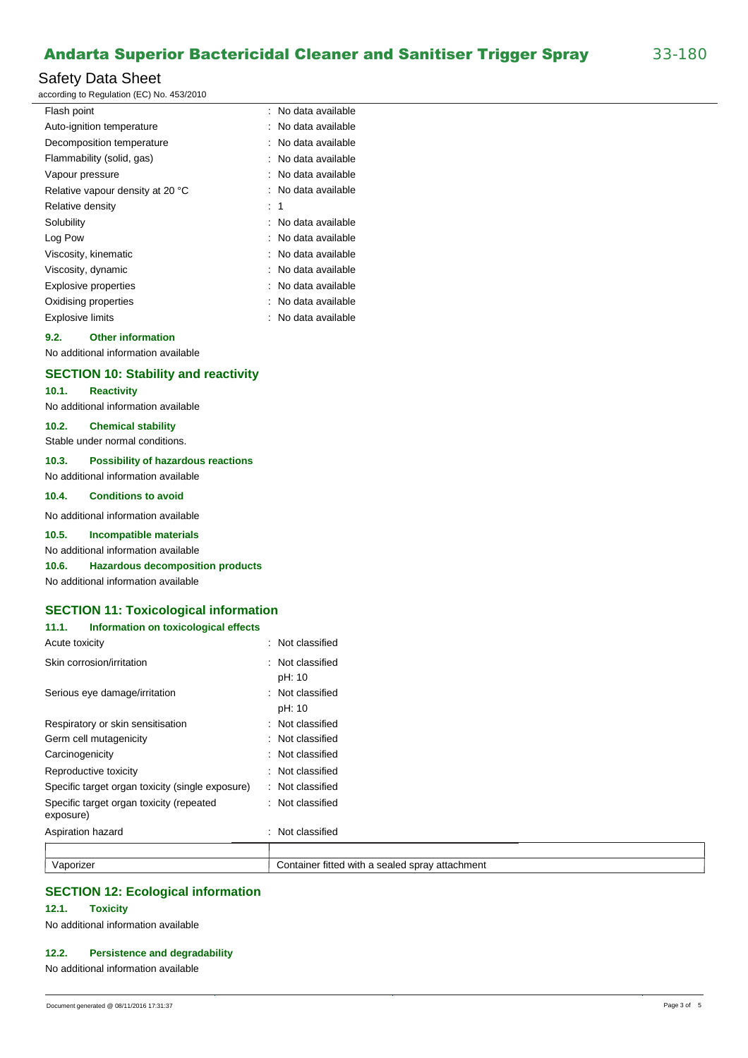# Safety Data Sheet

according to Regulation (EC) No. 453/2010

| Flash point                      | ÷. | No data available |
|----------------------------------|----|-------------------|
| Auto-ignition temperature        |    | No data available |
| Decomposition temperature        |    | No data available |
| Flammability (solid, gas)        |    | No data available |
| Vapour pressure                  |    | No data available |
| Relative vapour density at 20 °C |    | No data available |
| Relative density                 | t. | -1                |
| Solubility                       |    | No data available |
| Log Pow                          |    | No data available |
| Viscosity, kinematic             |    | No data available |
| Viscosity, dynamic               |    | No data available |
| <b>Explosive properties</b>      |    | No data available |
| Oxidising properties             |    | No data available |
| <b>Explosive limits</b>          |    | No data available |
|                                  |    |                   |

# **9.2. Other information**

No additional information available

# **SECTION 10: Stability and reactivity**

**10.1. Reactivity** 

No additional information available

### **10.2. Chemical stability**

Stable under normal conditions.

### **10.3. Possibility of hazardous reactions**

No additional information available

# **10.4. Conditions to avoid**

No additional information available

#### **10.5. Incompatible materials**

#### No additional information available

**10.6. Hazardous decomposition products** 

No additional information available

# **SECTION 11: Toxicological information**

### **11.1. Information on toxicological effects**

| Acute toxicity                                        | : Not classified                                |
|-------------------------------------------------------|-------------------------------------------------|
| Skin corrosion/irritation                             | : Not classified                                |
|                                                       | pH: 10                                          |
| Serious eye damage/irritation                         | : Not classified                                |
|                                                       | pH: 10                                          |
| Respiratory or skin sensitisation                     | : Not classified                                |
| Germ cell mutagenicity                                | : Not classified                                |
| Carcinogenicity                                       | : Not classified                                |
| Reproductive toxicity                                 | : Not classified                                |
| Specific target organ toxicity (single exposure)      | : Not classified                                |
| Specific target organ toxicity (repeated<br>exposure) | : Not classified                                |
| Aspiration hazard                                     | Not classified                                  |
|                                                       |                                                 |
| Vaporizer                                             | Container fitted with a sealed spray attachment |

# **SECTION 12: Ecological information**

# **12.1. Toxicity**

No additional information available

# **12.2. Persistence and degradability**

No additional information available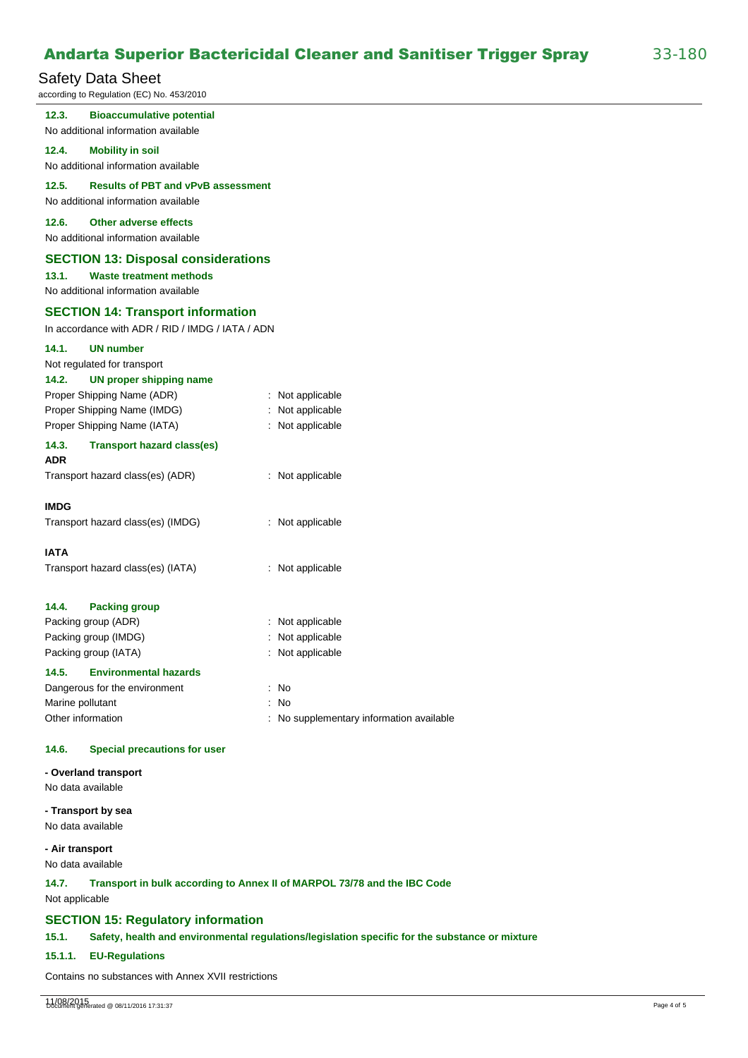# Safety Data Sheet

according to Regulation (EC) No. 453/2010

| 12.3.<br><b>Bioaccumulative potential</b><br>No additional information available                                             |                                          |
|------------------------------------------------------------------------------------------------------------------------------|------------------------------------------|
| 12.4.<br><b>Mobility in soil</b><br>No additional information available                                                      |                                          |
| 12.5.<br><b>Results of PBT and vPvB assessment</b><br>No additional information available                                    |                                          |
| 12.6.<br><b>Other adverse effects</b><br>No additional information available                                                 |                                          |
| <b>SECTION 13: Disposal considerations</b><br>13.1.<br><b>Waste treatment methods</b><br>No additional information available |                                          |
| <b>SECTION 14: Transport information</b><br>In accordance with ADR / RID / IMDG / IATA / ADN                                 |                                          |
| 14.1.<br><b>UN number</b><br>Not regulated for transport<br>14.2.<br><b>UN proper shipping name</b>                          |                                          |
| Proper Shipping Name (ADR)                                                                                                   | : Not applicable                         |
| Proper Shipping Name (IMDG)                                                                                                  | : Not applicable                         |
| Proper Shipping Name (IATA)                                                                                                  | : Not applicable                         |
| 14.3.<br><b>Transport hazard class(es)</b><br><b>ADR</b>                                                                     |                                          |
| Transport hazard class(es) (ADR)                                                                                             | : Not applicable                         |
| <b>IMDG</b>                                                                                                                  |                                          |
| Transport hazard class(es) (IMDG)                                                                                            | : Not applicable                         |
| <b>IATA</b>                                                                                                                  |                                          |
| Transport hazard class(es) (IATA)                                                                                            | : Not applicable                         |
| 14.4.<br><b>Packing group</b>                                                                                                |                                          |
| Packing group (ADR)                                                                                                          | : Not applicable                         |
| Packing group (IMDG)                                                                                                         | : Not applicable                         |
| Packing group (IATA)                                                                                                         | : Not applicable                         |
| 14.5.<br><b>Environmental hazards</b>                                                                                        |                                          |
| Dangerous for the environment                                                                                                | : No                                     |
| Marine pollutant                                                                                                             | : No                                     |
| Other information                                                                                                            | : No supplementary information available |
| 14.6.<br><b>Special precautions for user</b>                                                                                 |                                          |
| - Overland transport                                                                                                         |                                          |
| No data available                                                                                                            |                                          |

**- Transport by sea** No data available

**- Air transport**

No data available

**14.7. Transport in bulk according to Annex II of MARPOL 73/78 and the IBC Code**  Not applicable

#### **SECTION 15: Regulatory information**

**15.1. Safety, health and environmental regulations/legislation specific for the substance or mixture** 

#### **15.1.1. EU-Regulations**

Contains no substances with Annex XVII restrictions